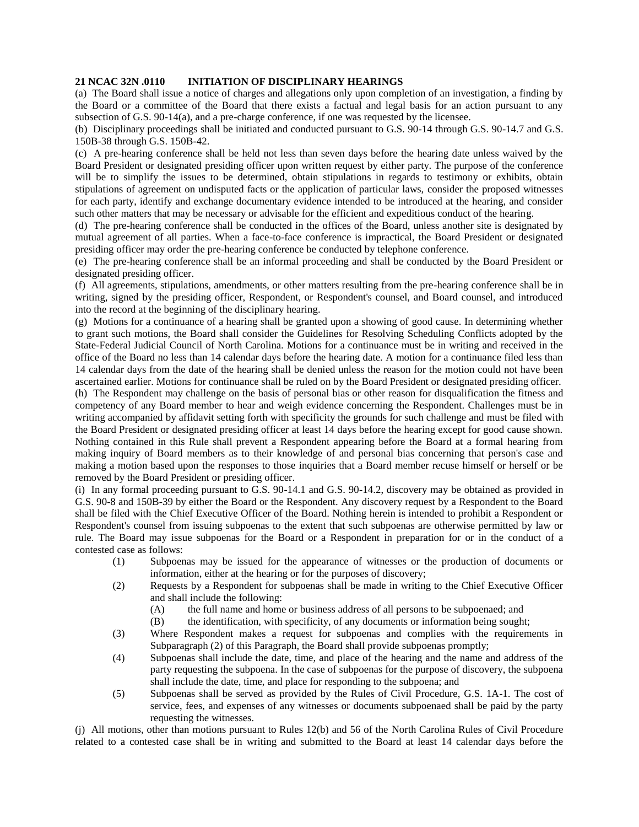## **21 NCAC 32N .0110 INITIATION OF DISCIPLINARY HEARINGS**

(a) The Board shall issue a notice of charges and allegations only upon completion of an investigation, a finding by the Board or a committee of the Board that there exists a factual and legal basis for an action pursuant to any subsection of G.S. 90-14(a), and a pre-charge conference, if one was requested by the licensee.

(b) Disciplinary proceedings shall be initiated and conducted pursuant to G.S. 90-14 through G.S. 90-14.7 and G.S. 150B-38 through G.S. 150B-42.

(c) A pre-hearing conference shall be held not less than seven days before the hearing date unless waived by the Board President or designated presiding officer upon written request by either party. The purpose of the conference will be to simplify the issues to be determined, obtain stipulations in regards to testimony or exhibits, obtain stipulations of agreement on undisputed facts or the application of particular laws, consider the proposed witnesses for each party, identify and exchange documentary evidence intended to be introduced at the hearing, and consider such other matters that may be necessary or advisable for the efficient and expeditious conduct of the hearing.

(d) The pre-hearing conference shall be conducted in the offices of the Board, unless another site is designated by mutual agreement of all parties. When a face-to-face conference is impractical, the Board President or designated presiding officer may order the pre-hearing conference be conducted by telephone conference.

(e) The pre-hearing conference shall be an informal proceeding and shall be conducted by the Board President or designated presiding officer.

(f) All agreements, stipulations, amendments, or other matters resulting from the pre-hearing conference shall be in writing, signed by the presiding officer, Respondent, or Respondent's counsel, and Board counsel, and introduced into the record at the beginning of the disciplinary hearing.

(g) Motions for a continuance of a hearing shall be granted upon a showing of good cause. In determining whether to grant such motions, the Board shall consider the Guidelines for Resolving Scheduling Conflicts adopted by the State-Federal Judicial Council of North Carolina. Motions for a continuance must be in writing and received in the office of the Board no less than 14 calendar days before the hearing date. A motion for a continuance filed less than 14 calendar days from the date of the hearing shall be denied unless the reason for the motion could not have been ascertained earlier. Motions for continuance shall be ruled on by the Board President or designated presiding officer.

(h) The Respondent may challenge on the basis of personal bias or other reason for disqualification the fitness and competency of any Board member to hear and weigh evidence concerning the Respondent. Challenges must be in writing accompanied by affidavit setting forth with specificity the grounds for such challenge and must be filed with the Board President or designated presiding officer at least 14 days before the hearing except for good cause shown. Nothing contained in this Rule shall prevent a Respondent appearing before the Board at a formal hearing from making inquiry of Board members as to their knowledge of and personal bias concerning that person's case and making a motion based upon the responses to those inquiries that a Board member recuse himself or herself or be removed by the Board President or presiding officer.

(i) In any formal proceeding pursuant to G.S. 90-14.1 and G.S. 90-14.2, discovery may be obtained as provided in G.S. 90-8 and 150B-39 by either the Board or the Respondent. Any discovery request by a Respondent to the Board shall be filed with the Chief Executive Officer of the Board. Nothing herein is intended to prohibit a Respondent or Respondent's counsel from issuing subpoenas to the extent that such subpoenas are otherwise permitted by law or rule. The Board may issue subpoenas for the Board or a Respondent in preparation for or in the conduct of a contested case as follows:

- (1) Subpoenas may be issued for the appearance of witnesses or the production of documents or information, either at the hearing or for the purposes of discovery;
- (2) Requests by a Respondent for subpoenas shall be made in writing to the Chief Executive Officer and shall include the following:
	- (A) the full name and home or business address of all persons to be subpoenaed; and
	- (B) the identification, with specificity, of any documents or information being sought;
- (3) Where Respondent makes a request for subpoenas and complies with the requirements in Subparagraph (2) of this Paragraph, the Board shall provide subpoenas promptly;
- (4) Subpoenas shall include the date, time, and place of the hearing and the name and address of the party requesting the subpoena. In the case of subpoenas for the purpose of discovery, the subpoena shall include the date, time, and place for responding to the subpoena; and
- (5) Subpoenas shall be served as provided by the Rules of Civil Procedure, G.S. 1A-1. The cost of service, fees, and expenses of any witnesses or documents subpoenaed shall be paid by the party requesting the witnesses.

(j) All motions, other than motions pursuant to Rules 12(b) and 56 of the North Carolina Rules of Civil Procedure related to a contested case shall be in writing and submitted to the Board at least 14 calendar days before the